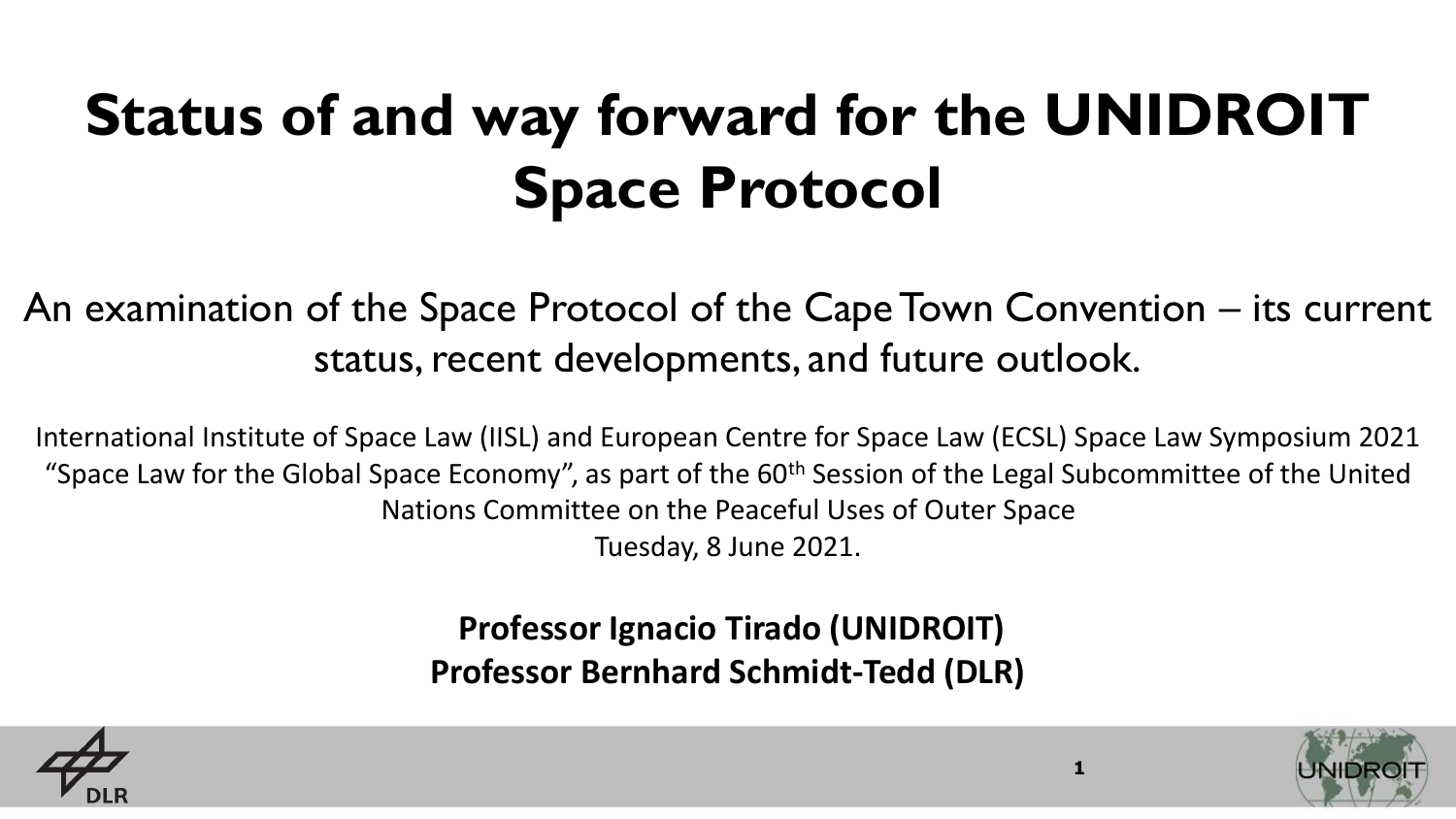# **Status of and way forward for the UNIDROIT Space Protocol**

An examination of the Space Protocol of the Cape Town Convention – its current status, recent developments, and future outlook.

International Institute of Space Law (IISL) and European Centre for Space Law (ECSL) Space Law Symposium 2021 "Space Law for the Global Space Economy", as part of the 60<sup>th</sup> Session of the Legal Subcommittee of the United Nations Committee on the Peaceful Uses of Outer Space Tuesday, 8 June 2021.

> **Professor Ignacio Tirado (UNIDROIT) Professor Bernhard Schmidt-Tedd (DLR)**



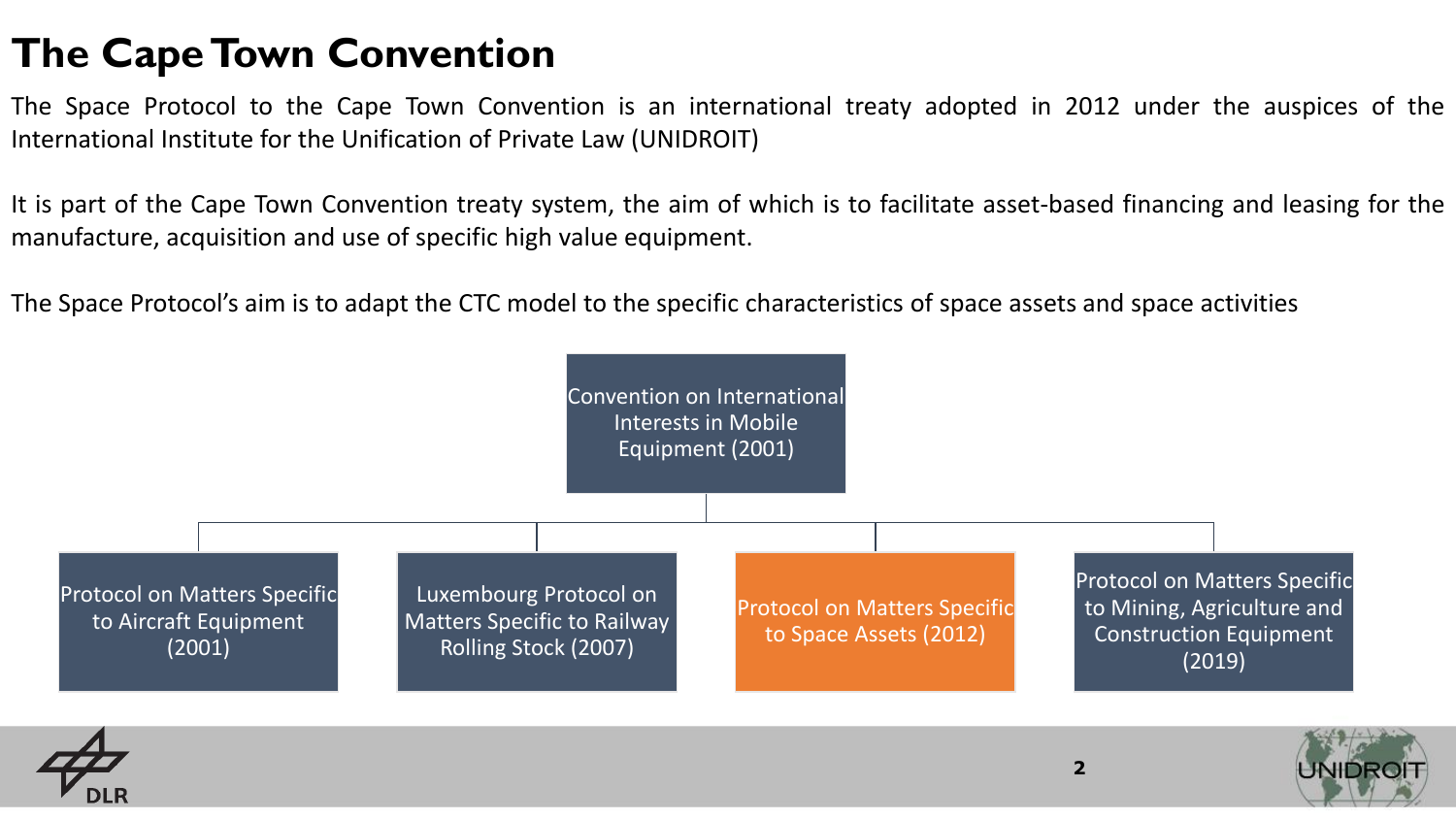#### **The Cape Town Convention**

The Space Protocol to the Cape Town Convention is an international treaty adopted in 2012 under the auspices of the International Institute for the Unification of Private Law (UNIDROIT)

It is part of the Cape Town Convention treaty system, the aim of which is to facilitate asset-based financing and leasing for the manufacture, acquisition and use of specific high value equipment.

The Space Protocol's aim is to adapt the CTC model to the specific characteristics of space assets and space activities

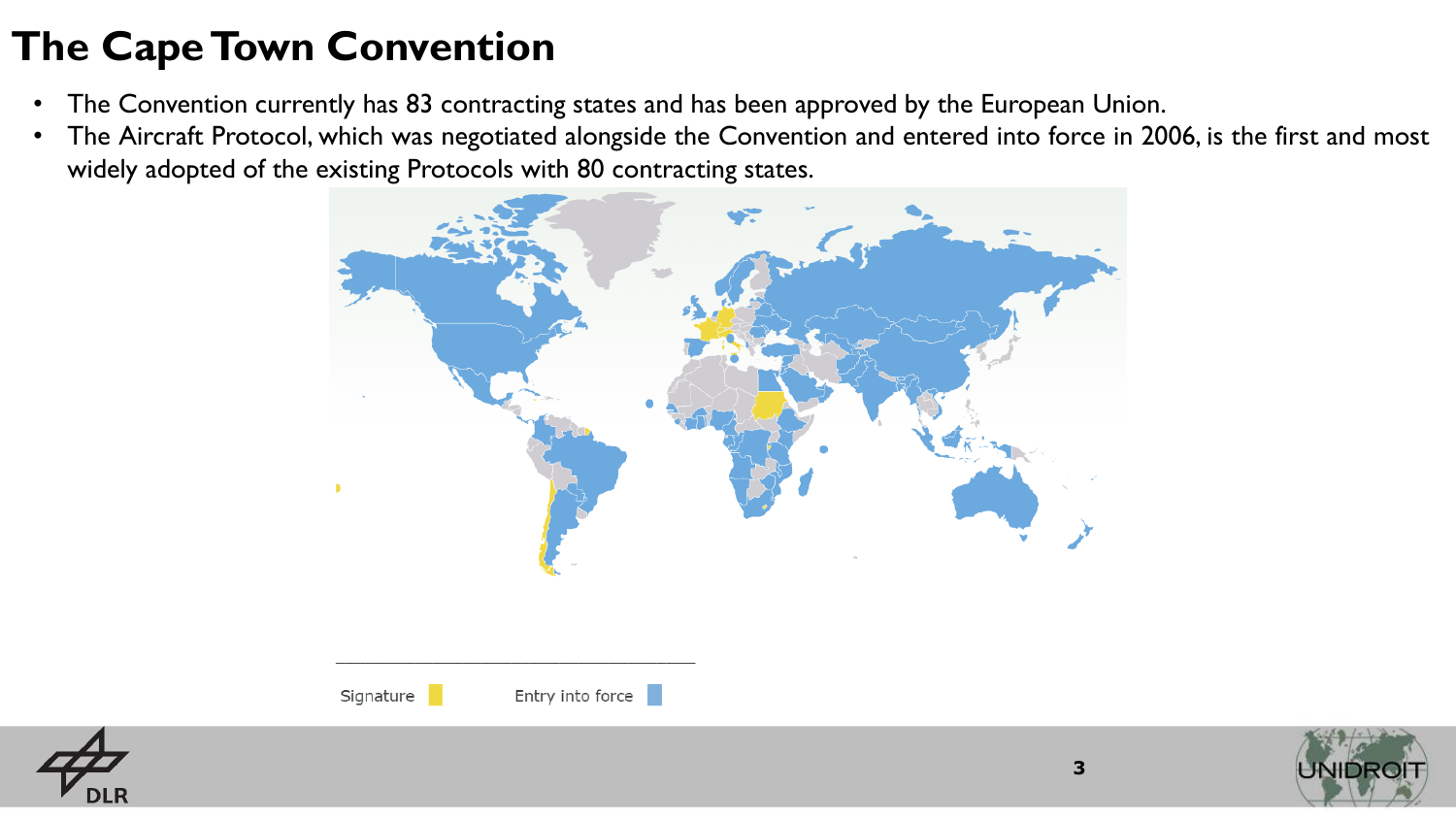# **The Cape Town Convention**

- The Convention currently has 83 contracting states and has been approved by the European Union.
- The Aircraft Protocol, which was negotiated alongside the Convention and entered into force in 2006, is the first and most widely adopted of the existing Protocols with 80 contracting states.



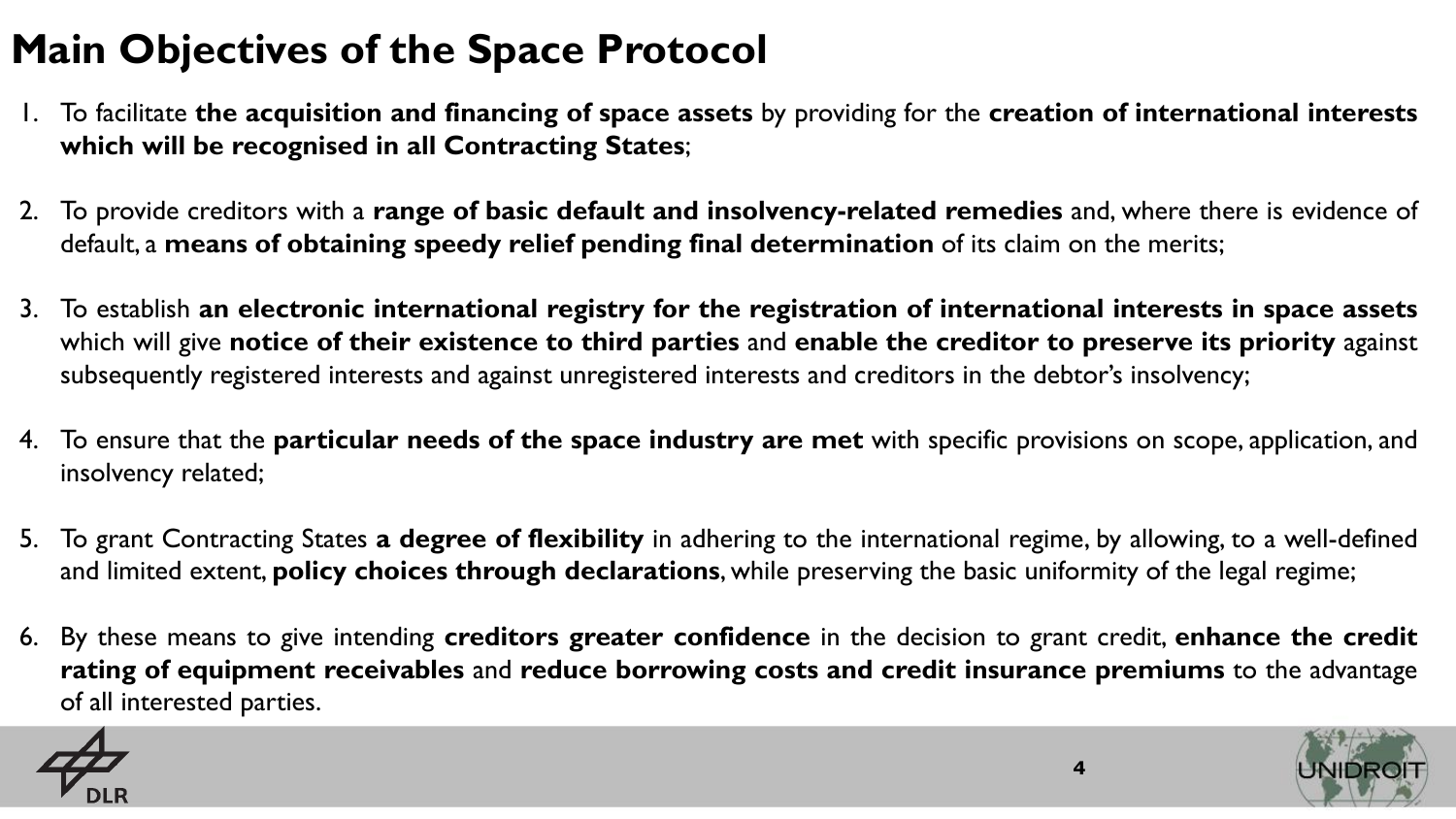# **Main Objectives of the Space Protocol**

- 1. To facilitate **the acquisition and financing of space assets** by providing for the **creation of international interests which will be recognised in all Contracting States**;
- 2. To provide creditors with a **range of basic default and insolvency-related remedies** and, where there is evidence of default, a **means of obtaining speedy relief pending final determination** of its claim on the merits;
- 3. To establish **an electronic international registry for the registration of international interests in space assets** which will give **notice of their existence to third parties** and **enable the creditor to preserve its priority** against subsequently registered interests and against unregistered interests and creditors in the debtor's insolvency;
- 4. To ensure that the **particular needs of the space industry are met** with specific provisions on scope, application, and insolvency related;
- 5. To grant Contracting States **a degree of flexibility** in adhering to the international regime, by allowing, to a well-defined and limited extent, **policy choices through declarations**, while preserving the basic uniformity of the legal regime;
- 6. By these means to give intending **creditors greater confidence** in the decision to grant credit, **enhance the credit rating of equipment receivables** and **reduce borrowing costs and credit insurance premiums** to the advantage of all interested parties.

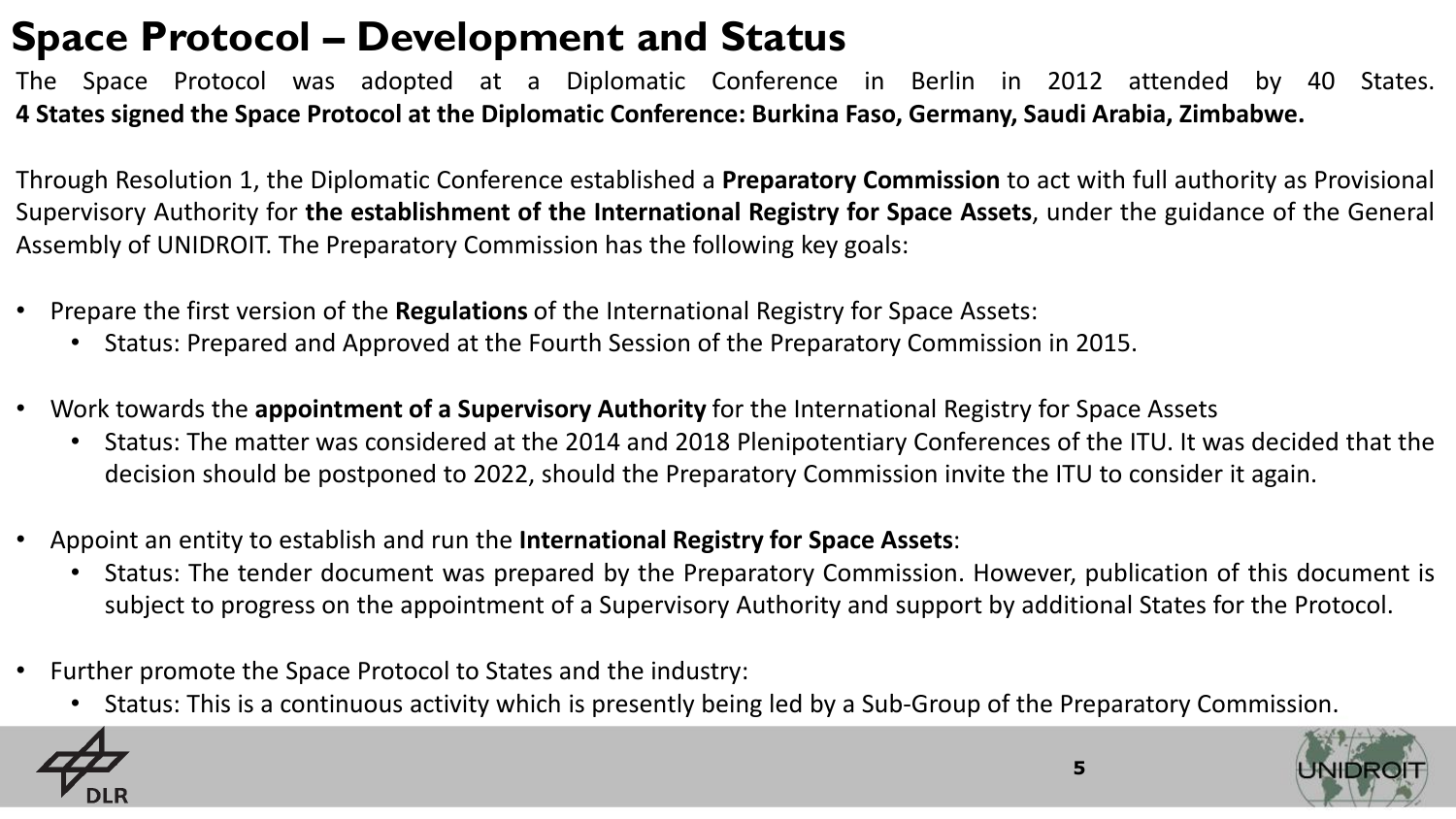#### **Space Protocol – Development and Status**

The Space Protocol was adopted at a Diplomatic Conference in Berlin in 2012 attended by 40 States. **4 States signed the Space Protocol at the Diplomatic Conference: Burkina Faso, Germany, Saudi Arabia, Zimbabwe.**

Through Resolution 1, the Diplomatic Conference established a **Preparatory Commission** to act with full authority as Provisional Supervisory Authority for **the establishment of the International Registry for Space Assets**, under the guidance of the General Assembly of UNIDROIT. The Preparatory Commission has the following key goals:

- Prepare the first version of the **Regulations** of the International Registry for Space Assets:
	- Status: Prepared and Approved at the Fourth Session of the Preparatory Commission in 2015.
- Work towards the **appointment of a Supervisory Authority** for the International Registry for Space Assets
	- Status: The matter was considered at the 2014 and 2018 Plenipotentiary Conferences of the ITU. It was decided that the decision should be postponed to 2022, should the Preparatory Commission invite the ITU to consider it again.
- Appoint an entity to establish and run the **International Registry for Space Assets**:
	- Status: The tender document was prepared by the Preparatory Commission. However, publication of this document is subject to progress on the appointment of a Supervisory Authority and support by additional States for the Protocol.
- Further promote the Space Protocol to States and the industry:
	- Status: This is a continuous activity which is presently being led by a Sub-Group of the Preparatory Commission.

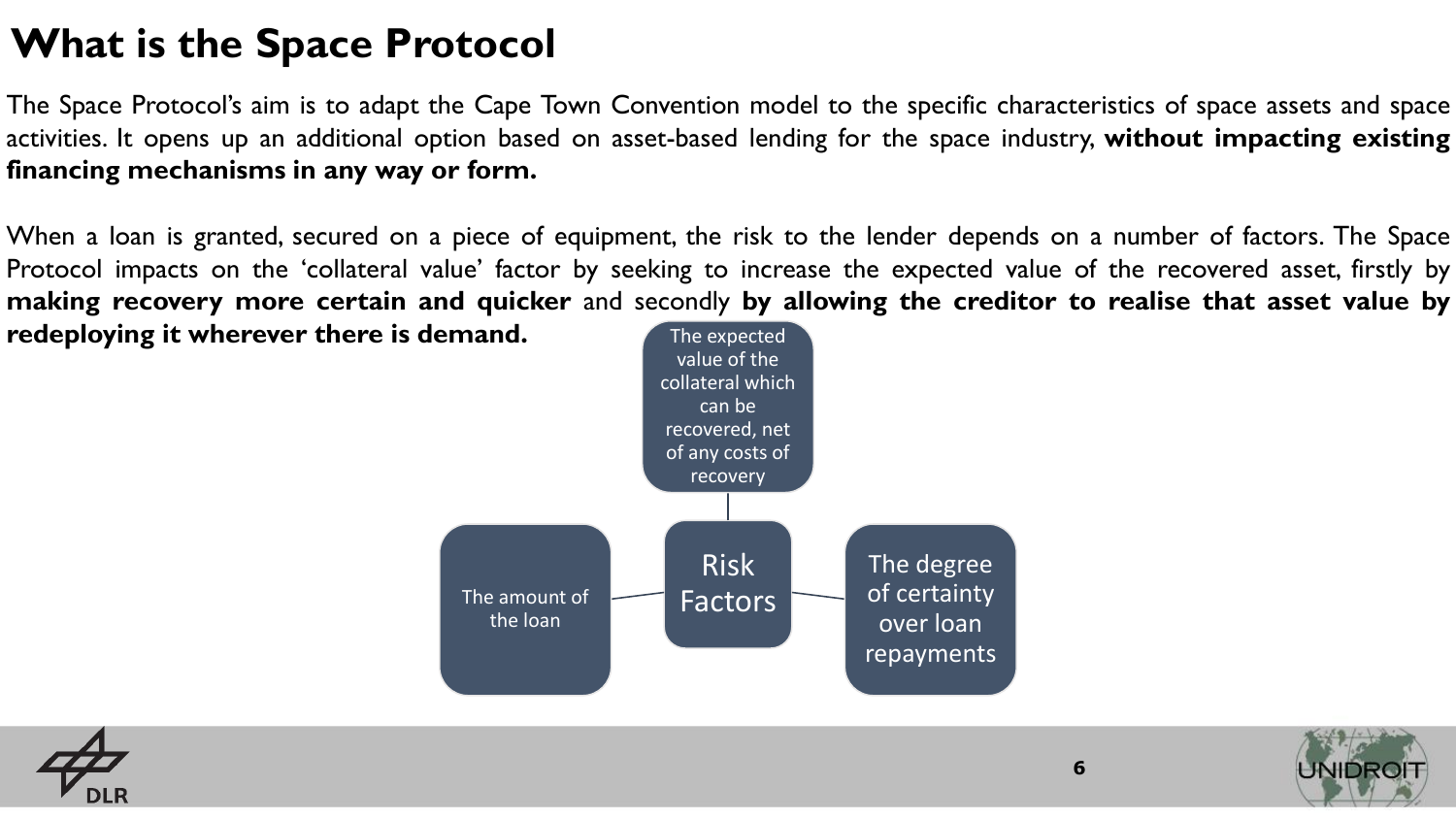#### **What is the Space Protocol**

The Space Protocol's aim is to adapt the Cape Town Convention model to the specific characteristics of space assets and space activities. It opens up an additional option based on asset-based lending for the space industry, **without impacting existing financing mechanisms in any way or form.**

When a loan is granted, secured on a piece of equipment, the risk to the lender depends on a number of factors. The Space Protocol impacts on the 'collateral value' factor by seeking to increase the expected value of the recovered asset, firstly by **making recovery more certain and quicker** and secondly **by allowing the creditor to realise that asset value by**

**redeploying it wherever there is demand.**





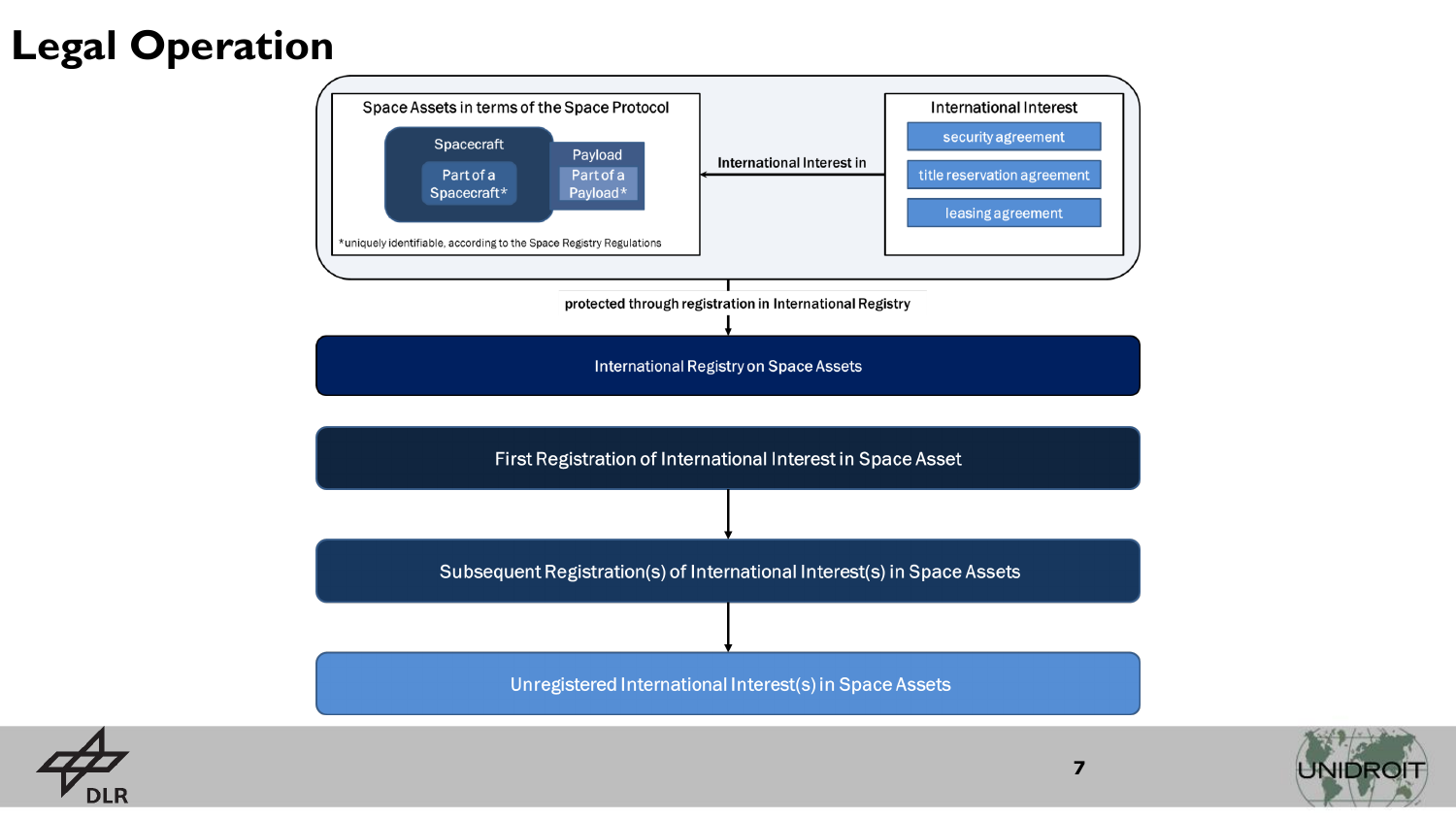## **Legal Operation**





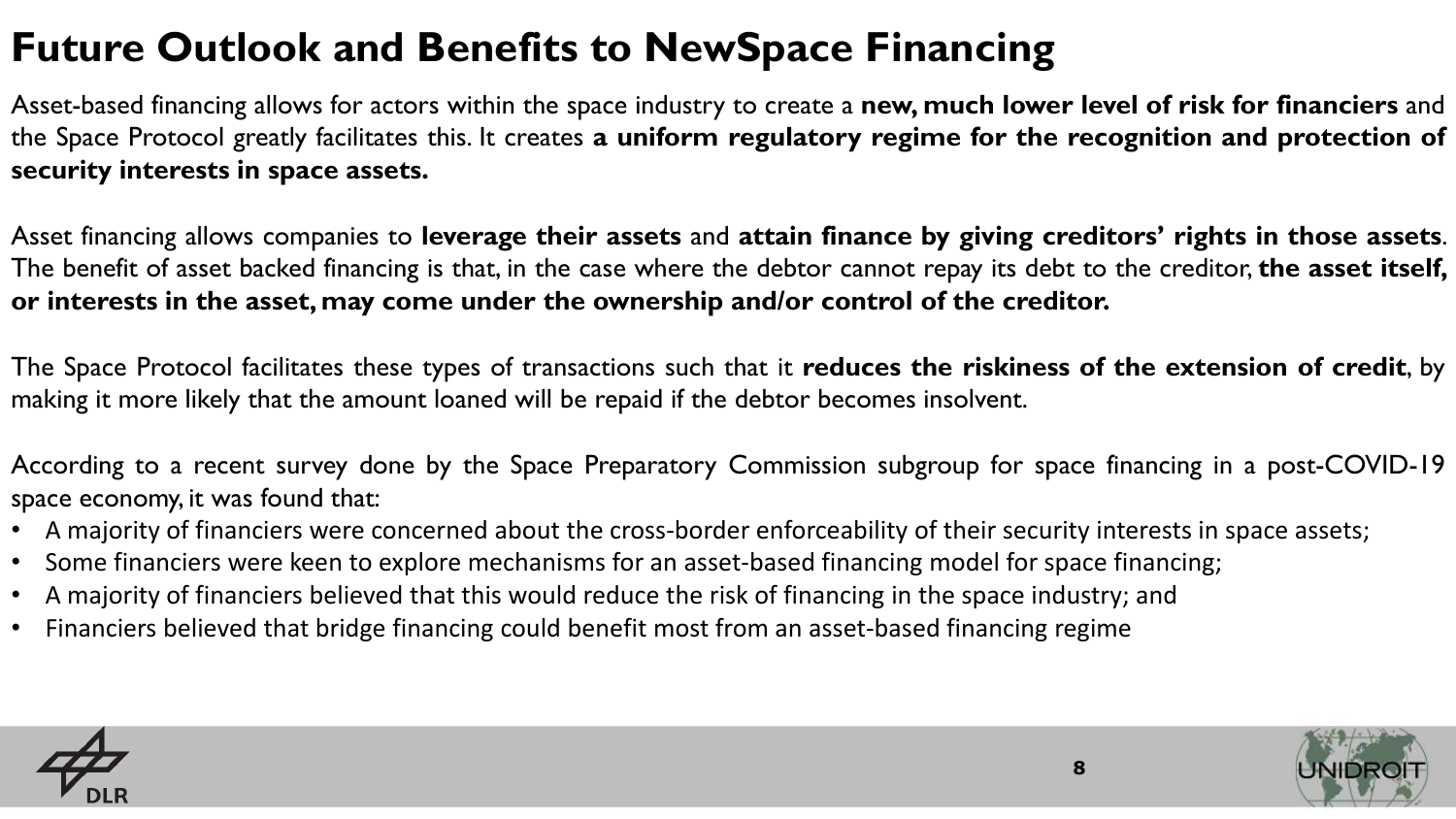# **Future Outlook and Benefits to NewSpace Financing**

Asset-based financing allows for actors within the space industry to create a **new, much lower level of risk for financiers** and the Space Protocol greatly facilitates this. It creates **a uniform regulatory regime for the recognition and protection of security interests in space assets.**

Asset financing allows companies to **leverage their assets** and **attain finance by giving creditors' rights in those assets**. The benefit of asset backed financing is that, in the case where the debtor cannot repay its debt to the creditor, **the asset itself, or interests in the asset,may come under the ownership and/or control of the creditor.**

The Space Protocol facilitates these types of transactions such that it **reduces the riskiness of the extension of credit**, by making it more likely that the amount loaned will be repaid if the debtor becomes insolvent.

According to a recent survey done by the Space Preparatory Commission subgroup for space financing in a post-COVID-19 space economy, it was found that:

- A majority of financiers were concerned about the cross-border enforceability of their security interests in space assets;
- Some financiers were keen to explore mechanisms for an asset-based financing model for space financing;
- A majority of financiers believed that this would reduce the risk of financing in the space industry; and
- Financiers believed that bridge financing could benefit most from an asset-based financing regime



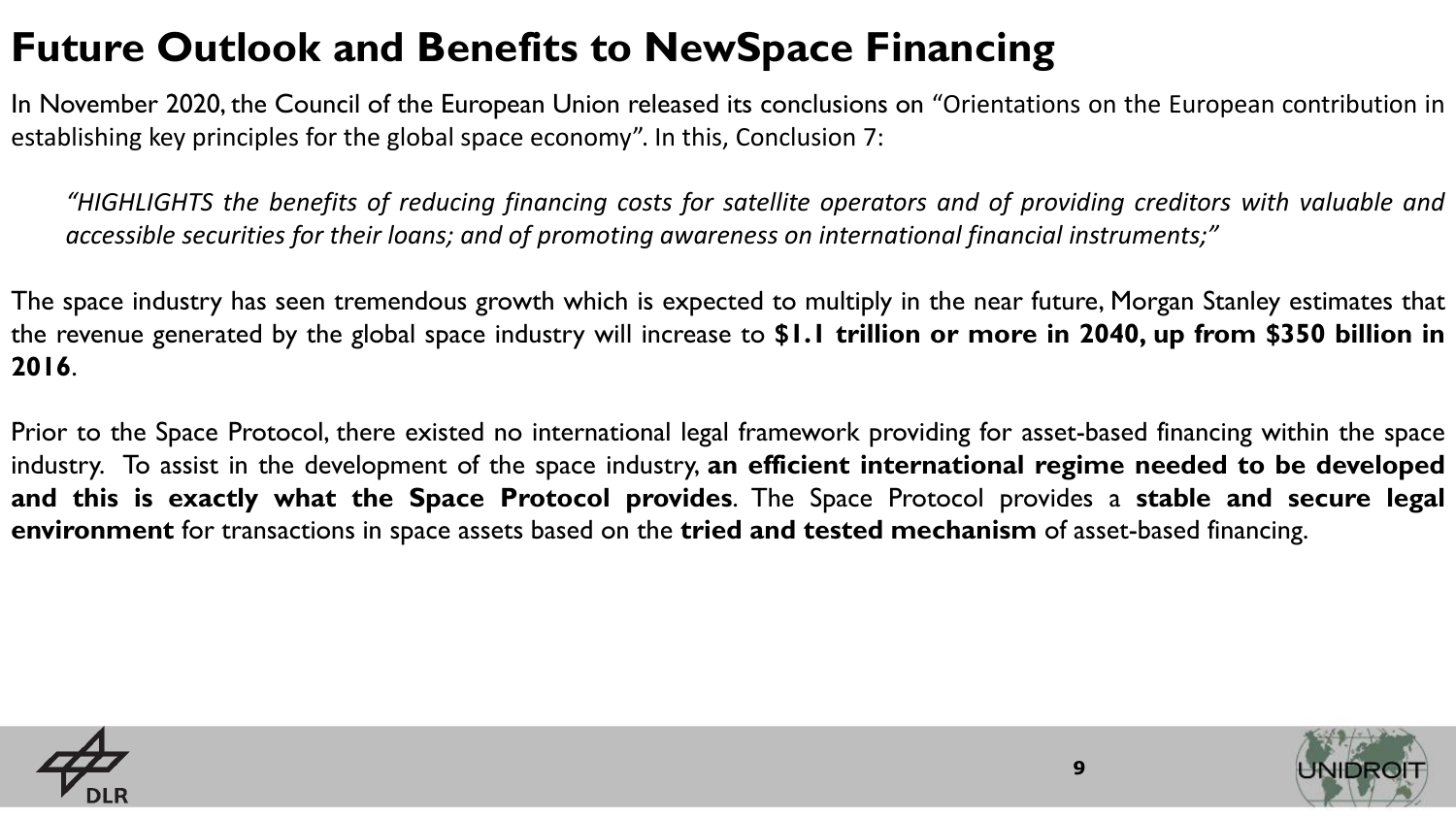## **Future Outlook and Benefits to NewSpace Financing**

In November 2020, the Council of the European Union released its conclusions on "Orientations on the European contribution in establishing key principles for the global space economy". In this, Conclusion 7:

"HIGHLIGHTS the benefits of reducing financing costs for satellite operators and of providing creditors with valuable and *accessible securities for their loans; and of promoting awareness on international financial instruments;"*

The space industry has seen tremendous growth which is expected to multiply in the near future, Morgan Stanley estimates that the revenue generated by the global space industry will increase to **\$1.1 trillion or more in 2040, up from \$350 billion in 2016**.

Prior to the Space Protocol, there existed no international legal framework providing for asset-based financing within the space industry. To assist in the development of the space industry, **an efficient international regime needed to be developed and this is exactly what the Space Protocol provides**. The Space Protocol provides a **stable and secure legal environment** for transactions in space assets based on the **tried and tested mechanism** of asset-based financing.



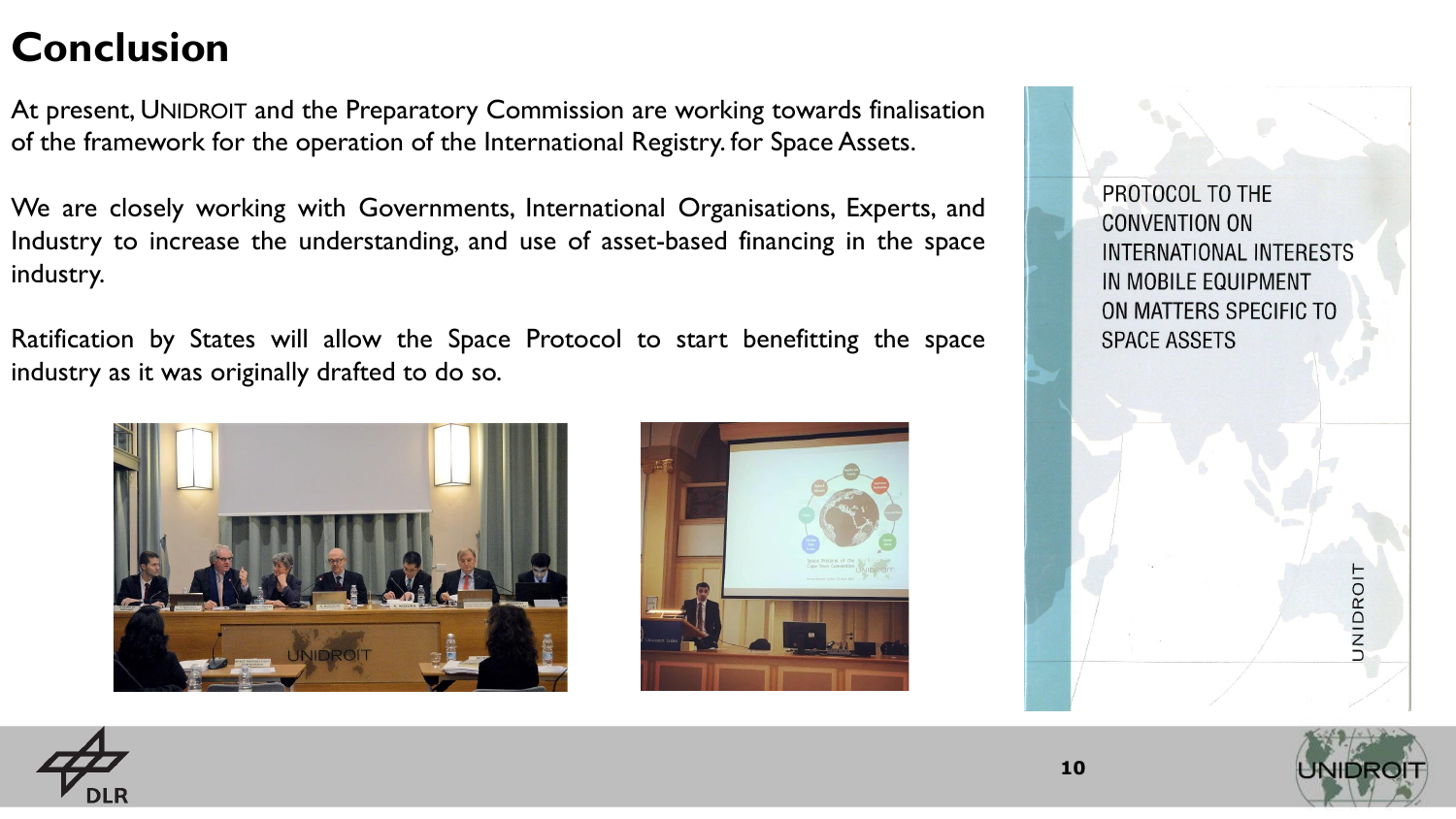### **Conclusion**

At present, UNIDROIT and the Preparatory Commission are working towards finalisation of the framework for the operation of the International Registry. for Space Assets.

We are closely working with Governments, International Organisations, Experts, and Industry to increase the understanding, and use of asset-based financing in the space industry.

Ratification by States will allow the Space Protocol to start benefitting the space industry as it was originally drafted to do so.





PROTOCOL TO THE **CONVENTION ON** INTERNATIONAL INTERESTS IN MOBILE EQUIPMENT ON MATTERS SPECIFIC TO **SPACE ASSETS** 







**NIDROI** 

**10**